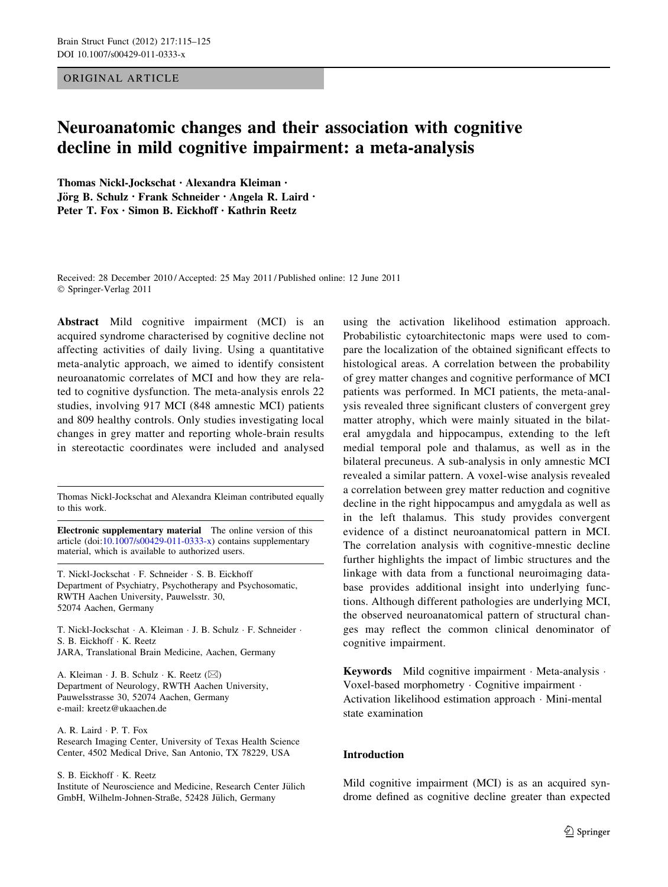## ORIGINAL ARTICLE

# Neuroanatomic changes and their association with cognitive decline in mild cognitive impairment: a meta-analysis

Thomas Nickl-Jockschat • Alexandra Kleiman • Jörg B. Schulz · Frank Schneider · Angela R. Laird · Peter T. Fox • Simon B. Eickhoff • Kathrin Reetz

Received: 28 December 2010 / Accepted: 25 May 2011 / Published online: 12 June 2011 © Springer-Verlag 2011

Abstract Mild cognitive impairment (MCI) is an acquired syndrome characterised by cognitive decline not affecting activities of daily living. Using a quantitative meta-analytic approach, we aimed to identify consistent neuroanatomic correlates of MCI and how they are related to cognitive dysfunction. The meta-analysis enrols 22 studies, involving 917 MCI (848 amnestic MCI) patients and 809 healthy controls. Only studies investigating local changes in grey matter and reporting whole-brain results in stereotactic coordinates were included and analysed

Thomas Nickl-Jockschat and Alexandra Kleiman contributed equally to this work.

Electronic supplementary material The online version of this article  $(doi:10.1007/s00429-011-0333-x)$  $(doi:10.1007/s00429-011-0333-x)$  contains supplementary material, which is available to authorized users.

T. Nickl-Jockschat - F. Schneider - S. B. Eickhoff Department of Psychiatry, Psychotherapy and Psychosomatic, RWTH Aachen University, Pauwelsstr. 30, 52074 Aachen, Germany

T. Nickl-Jockschat - A. Kleiman - J. B. Schulz - F. Schneider - S. B. Eickhoff - K. Reetz JARA, Translational Brain Medicine, Aachen, Germany

A. Kleiman  $\cdot$  J. B. Schulz  $\cdot$  K. Reetz ( $\boxtimes$ ) Department of Neurology, RWTH Aachen University, Pauwelsstrasse 30, 52074 Aachen, Germany e-mail: kreetz@ukaachen.de

A. R. Laird - P. T. Fox Research Imaging Center, University of Texas Health Science Center, 4502 Medical Drive, San Antonio, TX 78229, USA

S. B. Eickhoff - K. Reetz Institute of Neuroscience and Medicine, Research Center Jülich GmbH, Wilhelm-Johnen-Straße, 52428 Jülich, Germany

using the activation likelihood estimation approach. Probabilistic cytoarchitectonic maps were used to compare the localization of the obtained significant effects to histological areas. A correlation between the probability of grey matter changes and cognitive performance of MCI patients was performed. In MCI patients, the meta-analysis revealed three significant clusters of convergent grey matter atrophy, which were mainly situated in the bilateral amygdala and hippocampus, extending to the left medial temporal pole and thalamus, as well as in the bilateral precuneus. A sub-analysis in only amnestic MCI revealed a similar pattern. A voxel-wise analysis revealed a correlation between grey matter reduction and cognitive decline in the right hippocampus and amygdala as well as in the left thalamus. This study provides convergent evidence of a distinct neuroanatomical pattern in MCI. The correlation analysis with cognitive-mnestic decline further highlights the impact of limbic structures and the linkage with data from a functional neuroimaging database provides additional insight into underlying functions. Although different pathologies are underlying MCI, the observed neuroanatomical pattern of structural changes may reflect the common clinical denominator of cognitive impairment.

Keywords Mild cognitive impairment · Meta-analysis · Voxel-based morphometry - Cognitive impairment - Activation likelihood estimation approach - Mini-mental state examination

#### Introduction

Mild cognitive impairment (MCI) is as an acquired syndrome defined as cognitive decline greater than expected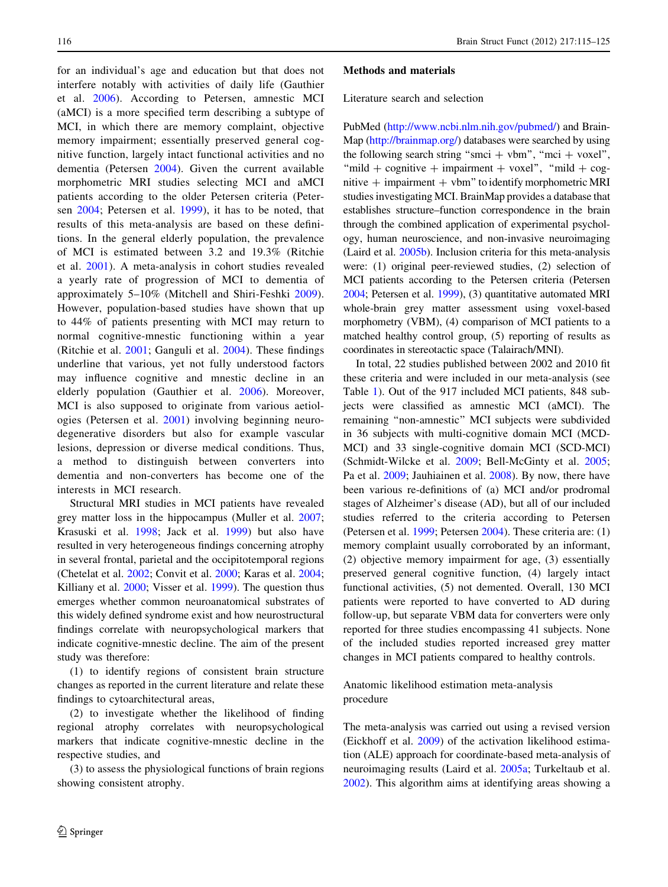for an individual's age and education but that does not interfere notably with activities of daily life (Gauthier et al. [2006](#page-8-0)). According to Petersen, amnestic MCI (aMCI) is a more specified term describing a subtype of MCI, in which there are memory complaint, objective memory impairment; essentially preserved general cognitive function, largely intact functional activities and no dementia (Petersen [2004\)](#page-9-0). Given the current available morphometric MRI studies selecting MCI and aMCI patients according to the older Petersen criteria (Petersen [2004](#page-9-0); Petersen et al. [1999\)](#page-9-0), it has to be noted, that results of this meta-analysis are based on these definitions. In the general elderly population, the prevalence of MCI is estimated between 3.2 and 19.3% (Ritchie et al. [2001](#page-9-0)). A meta-analysis in cohort studies revealed a yearly rate of progression of MCI to dementia of approximately 5–10% (Mitchell and Shiri-Feshki [2009](#page-9-0)). However, population-based studies have shown that up to 44% of patients presenting with MCI may return to normal cognitive-mnestic functioning within a year (Ritchie et al. [2001](#page-9-0); Ganguli et al. [2004](#page-8-0)). These findings underline that various, yet not fully understood factors may influence cognitive and mnestic decline in an elderly population (Gauthier et al. [2006\)](#page-8-0). Moreover, MCI is also supposed to originate from various aetiologies (Petersen et al. [2001\)](#page-9-0) involving beginning neurodegenerative disorders but also for example vascular lesions, depression or diverse medical conditions. Thus, a method to distinguish between converters into dementia and non-converters has become one of the interests in MCI research.

Structural MRI studies in MCI patients have revealed grey matter loss in the hippocampus (Muller et al. [2007](#page-9-0); Krasuski et al. [1998;](#page-9-0) Jack et al. [1999\)](#page-8-0) but also have resulted in very heterogeneous findings concerning atrophy in several frontal, parietal and the occipitotemporal regions (Chetelat et al. [2002](#page-8-0); Convit et al. [2000;](#page-8-0) Karas et al. [2004](#page-8-0); Killiany et al. [2000](#page-9-0); Visser et al. [1999\)](#page-9-0). The question thus emerges whether common neuroanatomical substrates of this widely defined syndrome exist and how neurostructural findings correlate with neuropsychological markers that indicate cognitive-mnestic decline. The aim of the present study was therefore:

(1) to identify regions of consistent brain structure changes as reported in the current literature and relate these findings to cytoarchitectural areas,

(2) to investigate whether the likelihood of finding regional atrophy correlates with neuropsychological markers that indicate cognitive-mnestic decline in the respective studies, and

(3) to assess the physiological functions of brain regions showing consistent atrophy.

#### Methods and materials

Literature search and selection

PubMed [\(http://www.ncbi.nlm.nih.gov/pubmed/](http://www.ncbi.nlm.nih.gov/pubmed/)) and Brain-Map (<http://brainmap.org/>) databases were searched by using the following search string "smci + vbm", "mci + voxel", "mild  $+$  cognitive  $+$  impairment  $+$  voxel", "mild  $+$  cognitive  $+$  impairment  $+$  vbm" to identify morphometric MRI studies investigating MCI. BrainMap provides a database that establishes structure–function correspondence in the brain through the combined application of experimental psychology, human neuroscience, and non-invasive neuroimaging (Laird et al. [2005b](#page-9-0)). Inclusion criteria for this meta-analysis were: (1) original peer-reviewed studies, (2) selection of MCI patients according to the Petersen criteria (Petersen [2004;](#page-9-0) Petersen et al. [1999\)](#page-9-0), (3) quantitative automated MRI whole-brain grey matter assessment using voxel-based morphometry (VBM), (4) comparison of MCI patients to a matched healthy control group, (5) reporting of results as coordinates in stereotactic space (Talairach/MNI).

In total, 22 studies published between 2002 and 2010 fit these criteria and were included in our meta-analysis (see Table [1](#page-2-0)). Out of the 917 included MCI patients, 848 subjects were classified as amnestic MCI (aMCI). The remaining ''non-amnestic'' MCI subjects were subdivided in 36 subjects with multi-cognitive domain MCI (MCD-MCI) and 33 single-cognitive domain MCI (SCD-MCI) (Schmidt-Wilcke et al. [2009](#page-9-0); Bell-McGinty et al. [2005](#page-8-0); Pa et al. [2009;](#page-9-0) Jauhiainen et al. [2008](#page-8-0)). By now, there have been various re-definitions of (a) MCI and/or prodromal stages of Alzheimer's disease (AD), but all of our included studies referred to the criteria according to Petersen (Petersen et al. [1999;](#page-9-0) Petersen [2004](#page-9-0)). These criteria are: (1) memory complaint usually corroborated by an informant, (2) objective memory impairment for age, (3) essentially preserved general cognitive function, (4) largely intact functional activities, (5) not demented. Overall, 130 MCI patients were reported to have converted to AD during follow-up, but separate VBM data for converters were only reported for three studies encompassing 41 subjects. None of the included studies reported increased grey matter changes in MCI patients compared to healthy controls.

# Anatomic likelihood estimation meta-analysis procedure

The meta-analysis was carried out using a revised version (Eickhoff et al. [2009](#page-8-0)) of the activation likelihood estimation (ALE) approach for coordinate-based meta-analysis of neuroimaging results (Laird et al. [2005a;](#page-9-0) Turkeltaub et al. [2002](#page-9-0)). This algorithm aims at identifying areas showing a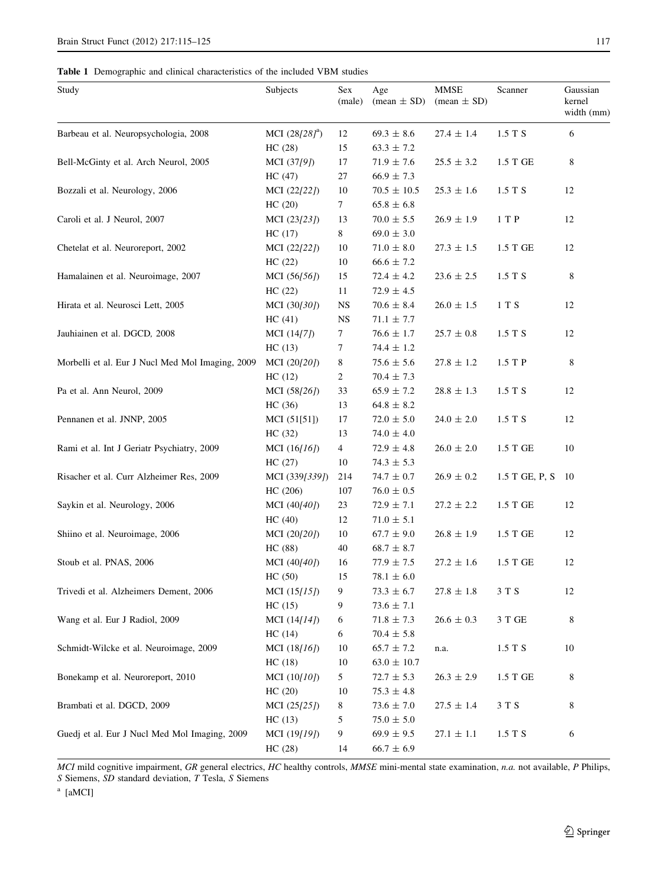<span id="page-2-0"></span>Table 1 Demographic and clinical characteristics of the included VBM studies

| Study                                            | Subjects         | Sex<br>(male)  | Age<br>$(\text{mean} \pm \text{SD})$ | <b>MMSE</b><br>(mean $\pm$ SD) | Scanner           | Gaussian<br>kernel<br>width (mm) |
|--------------------------------------------------|------------------|----------------|--------------------------------------|--------------------------------|-------------------|----------------------------------|
| Barbeau et al. Neuropsychologia, 2008            | MCI $(28[28]^a)$ | 12             | $69.3 \pm 8.6$                       | $27.4 \pm 1.4$                 | 1.5 T S           | 6                                |
|                                                  | HC(28)           | 15             | $63.3 \pm 7.2$                       |                                |                   |                                  |
| Bell-McGinty et al. Arch Neurol, 2005            | MCI (37[9])      | 17             | $71.9 \pm 7.6$                       | $25.5 \pm 3.2$                 | 1.5 T GE          | 8                                |
|                                                  | HC(47)           | 27             | $66.9$ $\pm$ 7.3                     |                                |                   |                                  |
| Bozzali et al. Neurology, 2006                   | MCI (22[22])     | 10             | $70.5 \pm 10.5$                      | $25.3 \pm 1.6$                 | $1.5$ T S         | 12                               |
|                                                  | HC(20)           | 7 <sup>7</sup> | $65.8 \pm 6.8$                       |                                |                   |                                  |
| Caroli et al. J Neurol, 2007                     | MCI (23[23])     | 13             | $70.0 \pm 5.5$                       | $26.9 \pm 1.9$                 | 1 T P             | 12                               |
|                                                  | HC(17)           | 8              | $69.0 \pm 3.0$                       |                                |                   |                                  |
| Chetelat et al. Neuroreport, 2002                | MCI (22[22])     | 10             | $71.0 \pm 8.0$                       | $27.3 \pm 1.5$                 | 1.5 T GE          | 12                               |
|                                                  | HC(22)           | 10             | $66.6 \pm 7.2$                       |                                |                   |                                  |
| Hamalainen et al. Neuroimage, 2007               | MCI (56[56])     | 15             | $72.4 \pm 4.2$                       | $23.6 \pm 2.5$                 | 1.5 T S           | 8                                |
|                                                  | HC(22)           | 11             | $72.9 \pm 4.5$                       |                                |                   |                                  |
| Hirata et al. Neurosci Lett, 2005                | MCI (30/30/)     | $_{\rm NS}$    | $70.6 \pm 8.4$                       | $26.0 \pm 1.5$                 | 1 T S             | 12                               |
|                                                  | HC(41)           | $_{\rm NS}$    | $71.1 \pm 7.7$                       |                                |                   |                                  |
| Jauhiainen et al. DGCD, 2008                     | MCI(14[7])       | $\tau$         | $76.6 \pm 1.7$                       | $25.7 \pm 0.8$                 | 1.5 T S           | 12                               |
|                                                  | HC(13)           | 7              | $74.4\,\pm\,1.2$                     |                                |                   |                                  |
| Morbelli et al. Eur J Nucl Med Mol Imaging, 2009 | MCI (20[20])     | 8              | $75.6 \pm 5.6$                       | $27.8 \pm 1.2$                 | $1.5 \text{ T} P$ | 8                                |
|                                                  | HC(12)           | 2              | $70.4 \pm 7.3$                       |                                |                   |                                  |
| Pa et al. Ann Neurol, 2009                       | MCI (58[26])     | 33             | $65.9 \pm 7.2$                       | $28.8 \pm 1.3$                 | 1.5 T S           | 12                               |
|                                                  | HC(36)           | 13             | $64.8 \pm 8.2$                       |                                |                   |                                  |
| Pennanen et al. JNNP, 2005                       | MCI (51[51])     | 17             | $72.0 \pm 5.0$                       | $24.0 \pm 2.0$                 | 1.5 T S           | 12                               |
|                                                  | HC(32)           | 13             | $74.0 \pm 4.0$                       |                                |                   |                                  |
| Rami et al. Int J Geriatr Psychiatry, 2009       | MCI (16[16])     | $\overline{4}$ | $72.9 \pm 4.8$                       | $26.0 \pm 2.0$                 | 1.5 T GE          | 10                               |
|                                                  | HC(27)           | 10             | $74.3 \pm 5.3$                       |                                |                   |                                  |
| Risacher et al. Curr Alzheimer Res, 2009         | MCI (339[339])   | 214            | $74.7 \pm 0.7$                       | $26.9 \pm 0.2$                 | 1.5 T GE, P, S    | 10                               |
|                                                  | HC(206)          | 107            | $76.0 \pm 0.5$                       |                                |                   |                                  |
| Saykin et al. Neurology, 2006                    | MCI (40[40])     | 23             | $72.9 \pm 7.1$                       | $27.2 \pm 2.2$                 | 1.5 T GE          | 12                               |
|                                                  | HC(40)           | 12             | $71.0 \pm 5.1$                       |                                |                   |                                  |
| Shiino et al. Neuroimage, 2006                   | MCI (20[20])     | 10             | $67.7 \pm 9.0$                       | $26.8 \pm 1.9$                 | 1.5 T GE          | 12                               |
|                                                  | HC(88)           | 40             | $68.7 \pm 8.7$                       |                                |                   |                                  |
| Stoub et al. PNAS, 2006                          | MCI (40[40])     | 16             | $77.9 \pm 7.5$                       | $27.2 \pm 1.6$                 | 1.5 T GE          | 12                               |
|                                                  | HC(50)           | 15             | $78.1 \pm 6.0$                       |                                |                   |                                  |
| Trivedi et al. Alzheimers Dement, 2006           | MCI $(15[15])$   | 9              | $73.3 \pm 6.7$                       | $27.8\,\pm\,1.8$               | 3 T S             | 12                               |
|                                                  | HC(15)           | 9              | $73.6 \pm 7.1$                       |                                |                   |                                  |
| Wang et al. Eur J Radiol, 2009                   | MCI (14[14])     | 6              | $71.8 \pm 7.3$                       | $26.6 \pm 0.3$                 | $3\ {\rm T}$ GE   | 8                                |
|                                                  | HC(14)           | 6              | $70.4 \pm 5.8$                       |                                |                   |                                  |
| Schmidt-Wilcke et al. Neuroimage, 2009           | MCI (18[16])     | 10             | $65.7 \pm 7.2$                       | n.a.                           | 1.5 T S           | 10                               |
|                                                  | HC(18)           | 10             | $63.0 \pm 10.7$                      |                                |                   |                                  |
| Bonekamp et al. Neuroreport, 2010                | MCI (10[10])     | 5              | $72.7 \pm 5.3$                       | $26.3 \pm 2.9$                 | 1.5 T GE          | 8                                |
|                                                  | HC(20)           | 10             | $75.3 \pm 4.8$                       |                                |                   |                                  |
| Brambati et al. DGCD, 2009                       | MCI (25[25])     | 8              | $73.6 \pm 7.0$                       | $27.5 \pm 1.4$                 | 3 T S             | 8                                |
|                                                  | HC(13)           | 5              | $75.0 \pm 5.0$                       |                                |                   |                                  |
| Guedj et al. Eur J Nucl Med Mol Imaging, 2009    | MCI (19[19])     | 9              | $69.9 \pm 9.5$                       | $27.1 \pm 1.1$                 | 1.5 T S           | 6                                |
|                                                  | HC(28)           | 14             | $66.7 \pm 6.9$                       |                                |                   |                                  |

MCI mild cognitive impairment, GR general electrics, HC healthy controls, MMSE mini-mental state examination, n.a. not available, P Philips, S Siemens, SD standard deviation, T Tesla, S Siemens

 $^{\rm a}$  [aMCI]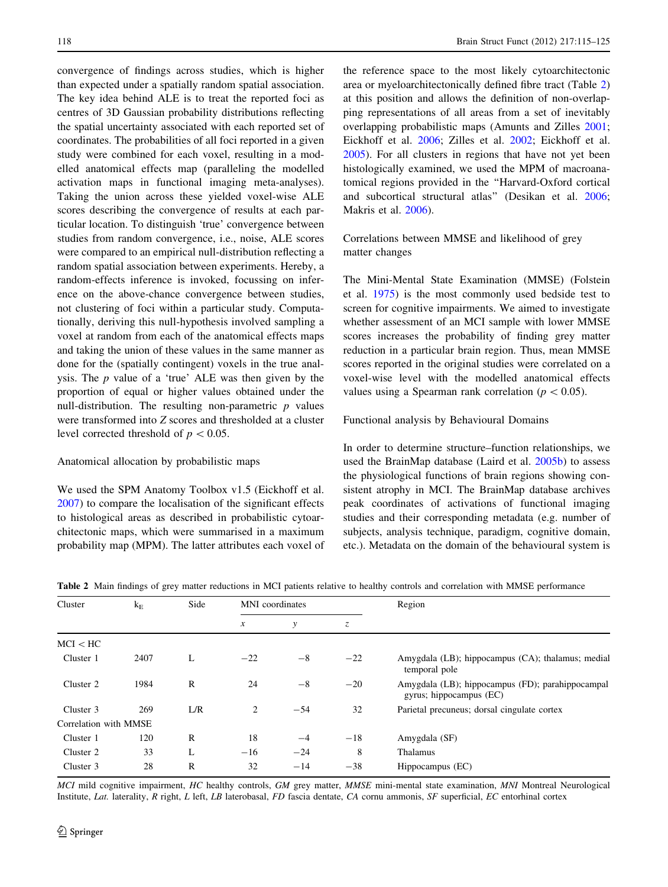<span id="page-3-0"></span>convergence of findings across studies, which is higher than expected under a spatially random spatial association. The key idea behind ALE is to treat the reported foci as centres of 3D Gaussian probability distributions reflecting the spatial uncertainty associated with each reported set of coordinates. The probabilities of all foci reported in a given study were combined for each voxel, resulting in a modelled anatomical effects map (paralleling the modelled activation maps in functional imaging meta-analyses). Taking the union across these yielded voxel-wise ALE scores describing the convergence of results at each particular location. To distinguish 'true' convergence between studies from random convergence, i.e., noise, ALE scores were compared to an empirical null-distribution reflecting a random spatial association between experiments. Hereby, a random-effects inference is invoked, focussing on inference on the above-chance convergence between studies, not clustering of foci within a particular study. Computationally, deriving this null-hypothesis involved sampling a voxel at random from each of the anatomical effects maps and taking the union of these values in the same manner as done for the (spatially contingent) voxels in the true analysis. The  $p$  value of a 'true' ALE was then given by the proportion of equal or higher values obtained under the null-distribution. The resulting non-parametric  $p$  values were transformed into Z scores and thresholded at a cluster level corrected threshold of  $p < 0.05$ .

#### Anatomical allocation by probabilistic maps

We used the SPM Anatomy Toolbox v1.5 (Eickhoff et al. [2007\)](#page-8-0) to compare the localisation of the significant effects to histological areas as described in probabilistic cytoarchitectonic maps, which were summarised in a maximum probability map (MPM). The latter attributes each voxel of the reference space to the most likely cytoarchitectonic area or myeloarchitectonically defined fibre tract (Table 2) at this position and allows the definition of non-overlapping representations of all areas from a set of inevitably overlapping probabilistic maps (Amunts and Zilles [2001](#page-8-0); Eickhoff et al. [2006;](#page-8-0) Zilles et al. [2002;](#page-10-0) Eickhoff et al. [2005](#page-8-0)). For all clusters in regions that have not yet been histologically examined, we used the MPM of macroanatomical regions provided in the ''Harvard-Oxford cortical and subcortical structural atlas'' (Desikan et al. [2006](#page-8-0); Makris et al. [2006](#page-9-0)).

Correlations between MMSE and likelihood of grey matter changes

The Mini-Mental State Examination (MMSE) (Folstein et al. [1975](#page-8-0)) is the most commonly used bedside test to screen for cognitive impairments. We aimed to investigate whether assessment of an MCI sample with lower MMSE scores increases the probability of finding grey matter reduction in a particular brain region. Thus, mean MMSE scores reported in the original studies were correlated on a voxel-wise level with the modelled anatomical effects values using a Spearman rank correlation ( $p < 0.05$ ).

# Functional analysis by Behavioural Domains

In order to determine structure–function relationships, we used the BrainMap database (Laird et al. [2005b](#page-9-0)) to assess the physiological functions of brain regions showing consistent atrophy in MCI. The BrainMap database archives peak coordinates of activations of functional imaging studies and their corresponding metadata (e.g. number of subjects, analysis technique, paradigm, cognitive domain, etc.). Metadata on the domain of the behavioural system is

| Cluster               | $k_{E}$ | Side         | MNI coordinates |       |               | Region                                                                      |
|-----------------------|---------|--------------|-----------------|-------|---------------|-----------------------------------------------------------------------------|
|                       |         |              | x               | y     | $\mathcal{Z}$ |                                                                             |
| MCI < HC              |         |              |                 |       |               |                                                                             |
| Cluster 1             | 2407    | L            | $-22$           | $-8$  | $-22$         | Amygdala (LB); hippocampus (CA); thalamus; medial<br>temporal pole          |
| Cluster 2             | 1984    | $\mathbb{R}$ | 24              | $-8$  | $-20$         | Amygdala (LB); hippocampus (FD); parahippocampal<br>gyrus; hippocampus (EC) |
| Cluster 3             | 269     | L/R          | 2               | $-54$ | 32            | Parietal precuneus; dorsal cingulate cortex                                 |
| Correlation with MMSE |         |              |                 |       |               |                                                                             |
| Cluster 1             | 120     | $\mathbb{R}$ | 18              | $-4$  | $-18$         | Amygdala (SF)                                                               |
| Cluster 2             | 33      | L            | $-16$           | $-24$ | 8             | Thalamus                                                                    |
| Cluster 3             | 28      | R            | 32              | $-14$ | $-38$         | Hippocampus (EC)                                                            |

MCI mild cognitive impairment, HC healthy controls, GM grey matter, MMSE mini-mental state examination, MNI Montreal Neurological Institute, Lat. laterality, R right, L left, LB laterobasal, FD fascia dentate, CA cornu ammonis, SF superficial, EC entorhinal cortex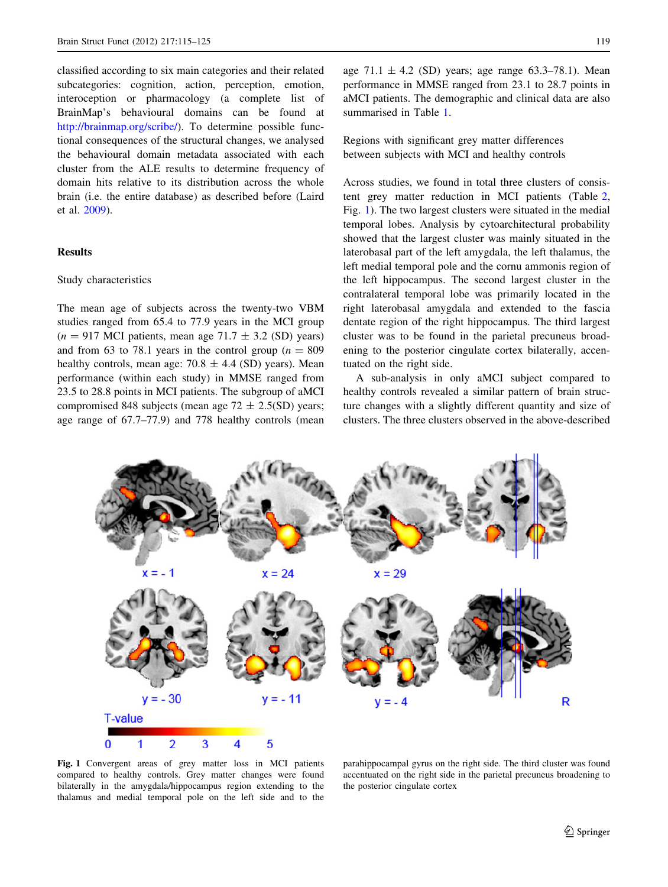<span id="page-4-0"></span>classified according to six main categories and their related subcategories: cognition, action, perception, emotion, interoception or pharmacology (a complete list of BrainMap's behavioural domains can be found at <http://brainmap.org/scribe/>). To determine possible functional consequences of the structural changes, we analysed the behavioural domain metadata associated with each cluster from the ALE results to determine frequency of domain hits relative to its distribution across the whole brain (i.e. the entire database) as described before (Laird et al. [2009\)](#page-9-0).

# **Results**

## Study characteristics

The mean age of subjects across the twenty-two VBM studies ranged from 65.4 to 77.9 years in the MCI group  $(n = 917 \text{ MCI patients}, \text{mean age } 71.7 \pm 3.2 \text{ (SD) years})$ and from 63 to 78.1 years in the control group  $(n = 809)$ healthy controls, mean age:  $70.8 \pm 4.4$  (SD) years). Mean performance (within each study) in MMSE ranged from 23.5 to 28.8 points in MCI patients. The subgroup of aMCI compromised 848 subjects (mean age  $72 \pm 2.5(SD)$  years; age range of 67.7–77.9) and 778 healthy controls (mean

age 71.1  $\pm$  4.2 (SD) years; age range 63.3–78.1). Mean performance in MMSE ranged from 23.1 to 28.7 points in aMCI patients. The demographic and clinical data are also summarised in Table [1](#page-2-0).

Regions with significant grey matter differences between subjects with MCI and healthy controls

Across studies, we found in total three clusters of consistent grey matter reduction in MCI patients (Table [2,](#page-3-0) Fig. 1). The two largest clusters were situated in the medial temporal lobes. Analysis by cytoarchitectural probability showed that the largest cluster was mainly situated in the laterobasal part of the left amygdala, the left thalamus, the left medial temporal pole and the cornu ammonis region of the left hippocampus. The second largest cluster in the contralateral temporal lobe was primarily located in the right laterobasal amygdala and extended to the fascia dentate region of the right hippocampus. The third largest cluster was to be found in the parietal precuneus broadening to the posterior cingulate cortex bilaterally, accentuated on the right side.

A sub-analysis in only aMCI subject compared to healthy controls revealed a similar pattern of brain structure changes with a slightly different quantity and size of clusters. The three clusters observed in the above-described



Fig. 1 Convergent areas of grey matter loss in MCI patients compared to healthy controls. Grey matter changes were found bilaterally in the amygdala/hippocampus region extending to the thalamus and medial temporal pole on the left side and to the

parahippocampal gyrus on the right side. The third cluster was found accentuated on the right side in the parietal precuneus broadening to the posterior cingulate cortex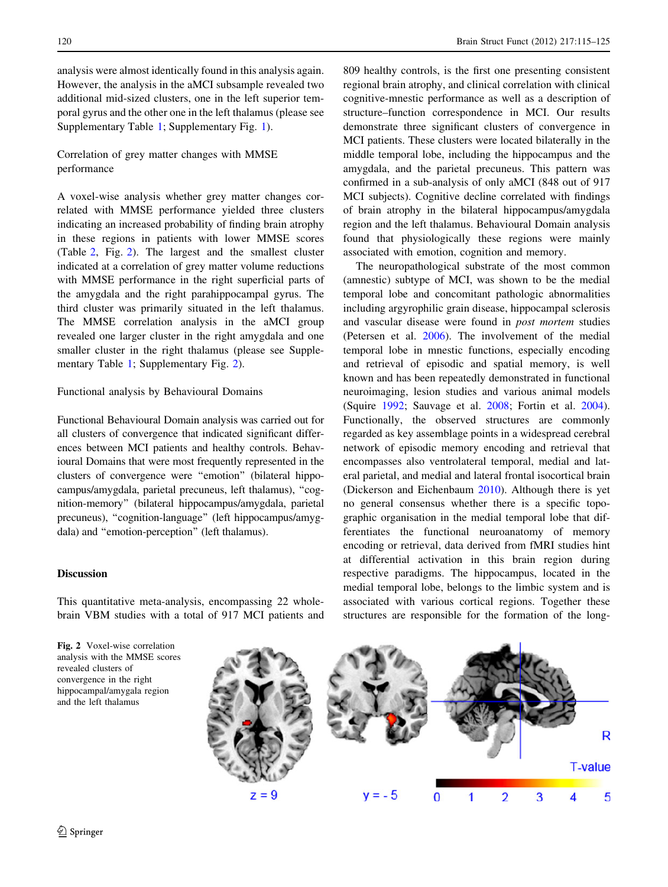analysis were almost identically found in this analysis again. However, the analysis in the aMCI subsample revealed two additional mid-sized clusters, one in the left superior temporal gyrus and the other one in the left thalamus (please see Supplementary Table [1](#page-2-0); Supplementary Fig. [1\)](#page-4-0).

Correlation of grey matter changes with MMSE performance

A voxel-wise analysis whether grey matter changes correlated with MMSE performance yielded three clusters indicating an increased probability of finding brain atrophy in these regions in patients with lower MMSE scores (Table [2](#page-3-0), Fig. 2). The largest and the smallest cluster indicated at a correlation of grey matter volume reductions with MMSE performance in the right superficial parts of the amygdala and the right parahippocampal gyrus. The third cluster was primarily situated in the left thalamus. The MMSE correlation analysis in the aMCI group revealed one larger cluster in the right amygdala and one smaller cluster in the right thalamus (please see Supplementary Table [1](#page-2-0); Supplementary Fig. 2).

# Functional analysis by Behavioural Domains

Functional Behavioural Domain analysis was carried out for all clusters of convergence that indicated significant differences between MCI patients and healthy controls. Behavioural Domains that were most frequently represented in the clusters of convergence were ''emotion'' (bilateral hippocampus/amygdala, parietal precuneus, left thalamus), ''cognition-memory'' (bilateral hippocampus/amygdala, parietal precuneus), ''cognition-language'' (left hippocampus/amygdala) and ''emotion-perception'' (left thalamus).

## **Discussion**

This quantitative meta-analysis, encompassing 22 wholebrain VBM studies with a total of 917 MCI patients and

120 Brain Struct Funct (2012) 217:115–125

809 healthy controls, is the first one presenting consistent regional brain atrophy, and clinical correlation with clinical cognitive-mnestic performance as well as a description of structure–function correspondence in MCI. Our results demonstrate three significant clusters of convergence in MCI patients. These clusters were located bilaterally in the middle temporal lobe, including the hippocampus and the amygdala, and the parietal precuneus. This pattern was confirmed in a sub-analysis of only aMCI (848 out of 917 MCI subjects). Cognitive decline correlated with findings of brain atrophy in the bilateral hippocampus/amygdala region and the left thalamus. Behavioural Domain analysis found that physiologically these regions were mainly associated with emotion, cognition and memory.

The neuropathological substrate of the most common (amnestic) subtype of MCI, was shown to be the medial temporal lobe and concomitant pathologic abnormalities including argyrophilic grain disease, hippocampal sclerosis and vascular disease were found in post mortem studies (Petersen et al. [2006](#page-9-0)). The involvement of the medial temporal lobe in mnestic functions, especially encoding and retrieval of episodic and spatial memory, is well known and has been repeatedly demonstrated in functional neuroimaging, lesion studies and various animal models (Squire [1992;](#page-9-0) Sauvage et al. [2008](#page-9-0); Fortin et al. [2004](#page-8-0)). Functionally, the observed structures are commonly regarded as key assemblage points in a widespread cerebral network of episodic memory encoding and retrieval that encompasses also ventrolateral temporal, medial and lateral parietal, and medial and lateral frontal isocortical brain (Dickerson and Eichenbaum [2010](#page-8-0)). Although there is yet no general consensus whether there is a specific topographic organisation in the medial temporal lobe that differentiates the functional neuroanatomy of memory encoding or retrieval, data derived from fMRI studies hint at differential activation in this brain region during respective paradigms. The hippocampus, located in the medial temporal lobe, belongs to the limbic system and is associated with various cortical regions. Together these structures are responsible for the formation of the long-

Fig. 2 Voxel-wise correlation analysis with the MMSE scores revealed clusters of convergence in the right hippocampal/amygala region and the left thalamus

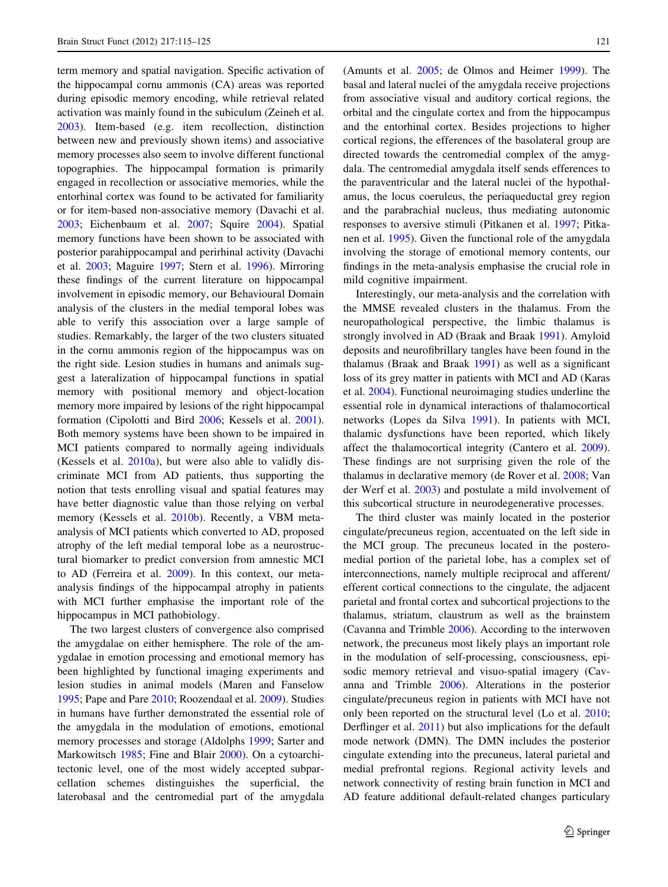term memory and spatial navigation. Specific activation of the hippocampal cornu ammonis (CA) areas was reported during episodic memory encoding, while retrieval related activation was mainly found in the subiculum (Zeineh et al. [2003\)](#page-10-0). Item-based (e.g. item recollection, distinction between new and previously shown items) and associative memory processes also seem to involve different functional topographies. The hippocampal formation is primarily engaged in recollection or associative memories, while the entorhinal cortex was found to be activated for familiarity or for item-based non-associative memory (Davachi et al. [2003;](#page-8-0) Eichenbaum et al. [2007](#page-8-0); Squire [2004\)](#page-9-0). Spatial memory functions have been shown to be associated with posterior parahippocampal and perirhinal activity (Davachi et al. [2003;](#page-8-0) Maguire [1997;](#page-9-0) Stern et al. [1996\)](#page-9-0). Mirroring these findings of the current literature on hippocampal involvement in episodic memory, our Behavioural Domain analysis of the clusters in the medial temporal lobes was able to verify this association over a large sample of studies. Remarkably, the larger of the two clusters situated in the cornu ammonis region of the hippocampus was on the right side. Lesion studies in humans and animals suggest a lateralization of hippocampal functions in spatial memory with positional memory and object-location memory more impaired by lesions of the right hippocampal formation (Cipolotti and Bird [2006](#page-8-0); Kessels et al. [2001](#page-8-0)). Both memory systems have been shown to be impaired in MCI patients compared to normally ageing individuals (Kessels et al. [2010a\)](#page-9-0), but were also able to validly discriminate MCI from AD patients, thus supporting the notion that tests enrolling visual and spatial features may have better diagnostic value than those relying on verbal memory (Kessels et al. [2010b\)](#page-9-0). Recently, a VBM metaanalysis of MCI patients which converted to AD, proposed atrophy of the left medial temporal lobe as a neurostructural biomarker to predict conversion from amnestic MCI to AD (Ferreira et al. [2009\)](#page-8-0). In this context, our metaanalysis findings of the hippocampal atrophy in patients with MCI further emphasise the important role of the hippocampus in MCI pathobiology.

The two largest clusters of convergence also comprised the amygdalae on either hemisphere. The role of the amygdalae in emotion processing and emotional memory has been highlighted by functional imaging experiments and lesion studies in animal models (Maren and Fanselow [1995;](#page-9-0) Pape and Pare [2010;](#page-9-0) Roozendaal et al. [2009](#page-9-0)). Studies in humans have further demonstrated the essential role of the amygdala in the modulation of emotions, emotional memory processes and storage (Aldolphs [1999;](#page-8-0) Sarter and Markowitsch [1985](#page-9-0); Fine and Blair [2000\)](#page-8-0). On a cytoarchitectonic level, one of the most widely accepted subparcellation schemes distinguishes the superficial, the laterobasal and the centromedial part of the amygdala (Amunts et al. [2005;](#page-8-0) de Olmos and Heimer [1999](#page-8-0)). The basal and lateral nuclei of the amygdala receive projections from associative visual and auditory cortical regions, the orbital and the cingulate cortex and from the hippocampus and the entorhinal cortex. Besides projections to higher cortical regions, the efferences of the basolateral group are directed towards the centromedial complex of the amygdala. The centromedial amygdala itself sends efferences to the paraventricular and the lateral nuclei of the hypothalamus, the locus coeruleus, the periaqueductal grey region and the parabrachial nucleus, thus mediating autonomic responses to aversive stimuli (Pitkanen et al. [1997](#page-9-0); Pitkanen et al. [1995](#page-9-0)). Given the functional role of the amygdala involving the storage of emotional memory contents, our findings in the meta-analysis emphasise the crucial role in mild cognitive impairment.

Interestingly, our meta-analysis and the correlation with the MMSE revealed clusters in the thalamus. From the neuropathological perspective, the limbic thalamus is strongly involved in AD (Braak and Braak [1991](#page-8-0)). Amyloid deposits and neurofibrillary tangles have been found in the thalamus (Braak and Braak [1991\)](#page-8-0) as well as a significant loss of its grey matter in patients with MCI and AD (Karas et al. [2004\)](#page-8-0). Functional neuroimaging studies underline the essential role in dynamical interactions of thalamocortical networks (Lopes da Silva [1991](#page-9-0)). In patients with MCI, thalamic dysfunctions have been reported, which likely affect the thalamocortical integrity (Cantero et al. [2009](#page-8-0)). These findings are not surprising given the role of the thalamus in declarative memory (de Rover et al. [2008](#page-8-0); Van der Werf et al. [2003\)](#page-9-0) and postulate a mild involvement of this subcortical structure in neurodegenerative processes.

The third cluster was mainly located in the posterior cingulate/precuneus region, accentuated on the left side in the MCI group. The precuneus located in the posteromedial portion of the parietal lobe, has a complex set of interconnections, namely multiple reciprocal and afferent/ efferent cortical connections to the cingulate, the adjacent parietal and frontal cortex and subcortical projections to the thalamus, striatum, claustrum as well as the brainstem (Cavanna and Trimble [2006\)](#page-8-0). According to the interwoven network, the precuneus most likely plays an important role in the modulation of self-processing, consciousness, episodic memory retrieval and visuo-spatial imagery (Cavanna and Trimble [2006\)](#page-8-0). Alterations in the posterior cingulate/precuneus region in patients with MCI have not only been reported on the structural level (Lo et al. [2010](#page-9-0); Derflinger et al. [2011](#page-8-0)) but also implications for the default mode network (DMN). The DMN includes the posterior cingulate extending into the precuneus, lateral parietal and medial prefrontal regions. Regional activity levels and network connectivity of resting brain function in MCI and AD feature additional default-related changes particulary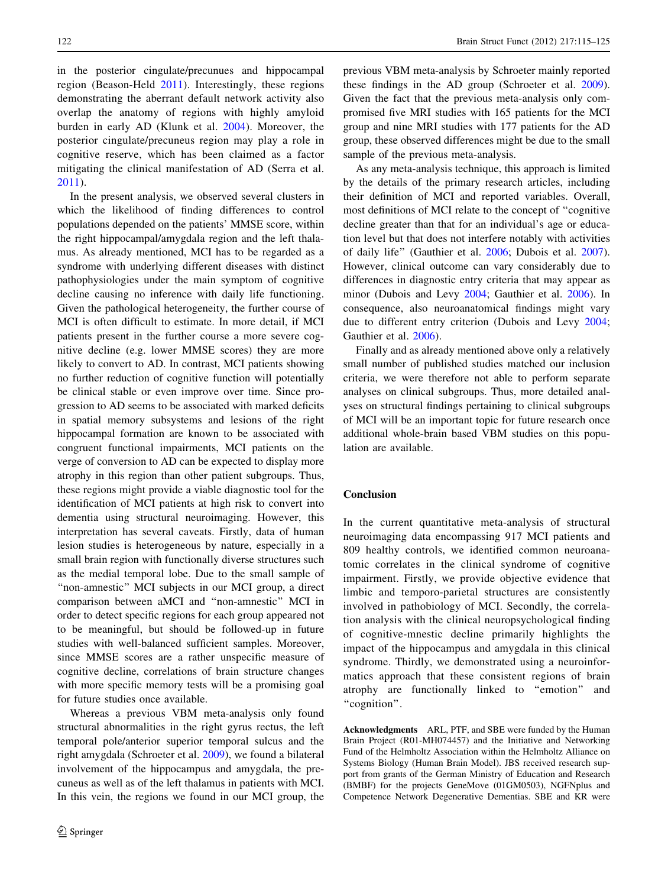in the posterior cingulate/precunues and hippocampal region (Beason-Held [2011\)](#page-8-0). Interestingly, these regions demonstrating the aberrant default network activity also overlap the anatomy of regions with highly amyloid burden in early AD (Klunk et al. [2004](#page-9-0)). Moreover, the posterior cingulate/precuneus region may play a role in cognitive reserve, which has been claimed as a factor mitigating the clinical manifestation of AD (Serra et al. [2011](#page-9-0)).

In the present analysis, we observed several clusters in which the likelihood of finding differences to control populations depended on the patients' MMSE score, within the right hippocampal/amygdala region and the left thalamus. As already mentioned, MCI has to be regarded as a syndrome with underlying different diseases with distinct pathophysiologies under the main symptom of cognitive decline causing no inference with daily life functioning. Given the pathological heterogeneity, the further course of MCI is often difficult to estimate. In more detail, if MCI patients present in the further course a more severe cognitive decline (e.g. lower MMSE scores) they are more likely to convert to AD. In contrast, MCI patients showing no further reduction of cognitive function will potentially be clinical stable or even improve over time. Since progression to AD seems to be associated with marked deficits in spatial memory subsystems and lesions of the right hippocampal formation are known to be associated with congruent functional impairments, MCI patients on the verge of conversion to AD can be expected to display more atrophy in this region than other patient subgroups. Thus, these regions might provide a viable diagnostic tool for the identification of MCI patients at high risk to convert into dementia using structural neuroimaging. However, this interpretation has several caveats. Firstly, data of human lesion studies is heterogeneous by nature, especially in a small brain region with functionally diverse structures such as the medial temporal lobe. Due to the small sample of "non-amnestic" MCI subjects in our MCI group, a direct comparison between aMCI and ''non-amnestic'' MCI in order to detect specific regions for each group appeared not to be meaningful, but should be followed-up in future studies with well-balanced sufficient samples. Moreover, since MMSE scores are a rather unspecific measure of cognitive decline, correlations of brain structure changes with more specific memory tests will be a promising goal for future studies once available.

Whereas a previous VBM meta-analysis only found structural abnormalities in the right gyrus rectus, the left temporal pole/anterior superior temporal sulcus and the right amygdala (Schroeter et al. [2009\)](#page-9-0), we found a bilateral involvement of the hippocampus and amygdala, the precuneus as well as of the left thalamus in patients with MCI. In this vein, the regions we found in our MCI group, the previous VBM meta-analysis by Schroeter mainly reported these findings in the AD group (Schroeter et al. [2009](#page-9-0)). Given the fact that the previous meta-analysis only compromised five MRI studies with 165 patients for the MCI group and nine MRI studies with 177 patients for the AD group, these observed differences might be due to the small sample of the previous meta-analysis.

As any meta-analysis technique, this approach is limited by the details of the primary research articles, including their definition of MCI and reported variables. Overall, most definitions of MCI relate to the concept of ''cognitive decline greater than that for an individual's age or education level but that does not interfere notably with activities of daily life'' (Gauthier et al. [2006](#page-8-0); Dubois et al. [2007](#page-8-0)). However, clinical outcome can vary considerably due to differences in diagnostic entry criteria that may appear as minor (Dubois and Levy [2004](#page-8-0); Gauthier et al. [2006\)](#page-8-0). In consequence, also neuroanatomical findings might vary due to different entry criterion (Dubois and Levy [2004](#page-8-0); Gauthier et al. [2006](#page-8-0)).

Finally and as already mentioned above only a relatively small number of published studies matched our inclusion criteria, we were therefore not able to perform separate analyses on clinical subgroups. Thus, more detailed analyses on structural findings pertaining to clinical subgroups of MCI will be an important topic for future research once additional whole-brain based VBM studies on this population are available.

# Conclusion

In the current quantitative meta-analysis of structural neuroimaging data encompassing 917 MCI patients and 809 healthy controls, we identified common neuroanatomic correlates in the clinical syndrome of cognitive impairment. Firstly, we provide objective evidence that limbic and temporo-parietal structures are consistently involved in pathobiology of MCI. Secondly, the correlation analysis with the clinical neuropsychological finding of cognitive-mnestic decline primarily highlights the impact of the hippocampus and amygdala in this clinical syndrome. Thirdly, we demonstrated using a neuroinformatics approach that these consistent regions of brain atrophy are functionally linked to ''emotion'' and ''cognition''.

Acknowledgments ARL, PTF, and SBE were funded by the Human Brain Project (R01-MH074457) and the Initiative and Networking Fund of the Helmholtz Association within the Helmholtz Alliance on Systems Biology (Human Brain Model). JBS received research support from grants of the German Ministry of Education and Research (BMBF) for the projects GeneMove (01GM0503), NGFNplus and Competence Network Degenerative Dementias. SBE and KR were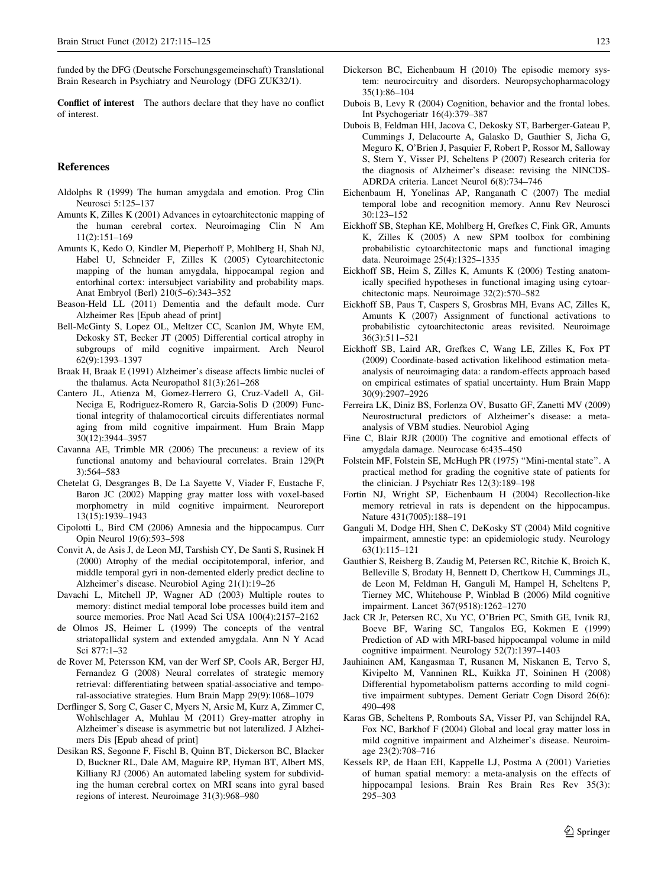<span id="page-8-0"></span>funded by the DFG (Deutsche Forschungsgemeinschaft) Translational Brain Research in Psychiatry and Neurology (DFG ZUK32/1).

Conflict of interest The authors declare that they have no conflict of interest.

#### References

- Aldolphs R (1999) The human amygdala and emotion. Prog Clin Neurosci 5:125–137
- Amunts K, Zilles K (2001) Advances in cytoarchitectonic mapping of the human cerebral cortex. Neuroimaging Clin N Am 11(2):151–169
- Amunts K, Kedo O, Kindler M, Pieperhoff P, Mohlberg H, Shah NJ, Habel U, Schneider F, Zilles K (2005) Cytoarchitectonic mapping of the human amygdala, hippocampal region and entorhinal cortex: intersubject variability and probability maps. Anat Embryol (Berl) 210(5–6):343–352
- Beason-Held LL (2011) Dementia and the default mode. Curr Alzheimer Res [Epub ahead of print]
- Bell-McGinty S, Lopez OL, Meltzer CC, Scanlon JM, Whyte EM, Dekosky ST, Becker JT (2005) Differential cortical atrophy in subgroups of mild cognitive impairment. Arch Neurol 62(9):1393–1397
- Braak H, Braak E (1991) Alzheimer's disease affects limbic nuclei of the thalamus. Acta Neuropathol 81(3):261–268
- Cantero JL, Atienza M, Gomez-Herrero G, Cruz-Vadell A, Gil-Neciga E, Rodriguez-Romero R, Garcia-Solis D (2009) Functional integrity of thalamocortical circuits differentiates normal aging from mild cognitive impairment. Hum Brain Mapp 30(12):3944–3957
- Cavanna AE, Trimble MR (2006) The precuneus: a review of its functional anatomy and behavioural correlates. Brain 129(Pt 3):564–583
- Chetelat G, Desgranges B, De La Sayette V, Viader F, Eustache F, Baron JC (2002) Mapping gray matter loss with voxel-based morphometry in mild cognitive impairment. Neuroreport 13(15):1939–1943
- Cipolotti L, Bird CM (2006) Amnesia and the hippocampus. Curr Opin Neurol 19(6):593–598
- Convit A, de Asis J, de Leon MJ, Tarshish CY, De Santi S, Rusinek H (2000) Atrophy of the medial occipitotemporal, inferior, and middle temporal gyri in non-demented elderly predict decline to Alzheimer's disease. Neurobiol Aging 21(1):19–26
- Davachi L, Mitchell JP, Wagner AD (2003) Multiple routes to memory: distinct medial temporal lobe processes build item and source memories. Proc Natl Acad Sci USA 100(4):2157–2162
- de Olmos JS, Heimer L (1999) The concepts of the ventral striatopallidal system and extended amygdala. Ann N Y Acad Sci 877:1–32
- de Rover M, Petersson KM, van der Werf SP, Cools AR, Berger HJ, Fernandez G (2008) Neural correlates of strategic memory retrieval: differentiating between spatial-associative and temporal-associative strategies. Hum Brain Mapp 29(9):1068–1079
- Derflinger S, Sorg C, Gaser C, Myers N, Arsic M, Kurz A, Zimmer C, Wohlschlager A, Muhlau M (2011) Grey-matter atrophy in Alzheimer's disease is asymmetric but not lateralized. J Alzheimers Dis [Epub ahead of print]
- Desikan RS, Segonne F, Fischl B, Quinn BT, Dickerson BC, Blacker D, Buckner RL, Dale AM, Maguire RP, Hyman BT, Albert MS, Killiany RJ (2006) An automated labeling system for subdividing the human cerebral cortex on MRI scans into gyral based regions of interest. Neuroimage 31(3):968–980
- Dickerson BC, Eichenbaum H (2010) The episodic memory system: neurocircuitry and disorders. Neuropsychopharmacology 35(1):86–104
- Dubois B, Levy R (2004) Cognition, behavior and the frontal lobes. Int Psychogeriatr 16(4):379–387
- Dubois B, Feldman HH, Jacova C, Dekosky ST, Barberger-Gateau P, Cummings J, Delacourte A, Galasko D, Gauthier S, Jicha G, Meguro K, O'Brien J, Pasquier F, Robert P, Rossor M, Salloway S, Stern Y, Visser PJ, Scheltens P (2007) Research criteria for the diagnosis of Alzheimer's disease: revising the NINCDS-ADRDA criteria. Lancet Neurol 6(8):734–746
- Eichenbaum H, Yonelinas AP, Ranganath C (2007) The medial temporal lobe and recognition memory. Annu Rev Neurosci 30:123–152
- Eickhoff SB, Stephan KE, Mohlberg H, Grefkes C, Fink GR, Amunts K, Zilles K (2005) A new SPM toolbox for combining probabilistic cytoarchitectonic maps and functional imaging data. Neuroimage 25(4):1325–1335
- Eickhoff SB, Heim S, Zilles K, Amunts K (2006) Testing anatomically specified hypotheses in functional imaging using cytoarchitectonic maps. Neuroimage 32(2):570–582
- Eickhoff SB, Paus T, Caspers S, Grosbras MH, Evans AC, Zilles K, Amunts K (2007) Assignment of functional activations to probabilistic cytoarchitectonic areas revisited. Neuroimage 36(3):511–521
- Eickhoff SB, Laird AR, Grefkes C, Wang LE, Zilles K, Fox PT (2009) Coordinate-based activation likelihood estimation metaanalysis of neuroimaging data: a random-effects approach based on empirical estimates of spatial uncertainty. Hum Brain Mapp 30(9):2907–2926
- Ferreira LK, Diniz BS, Forlenza OV, Busatto GF, Zanetti MV (2009) Neurostructural predictors of Alzheimer's disease: a metaanalysis of VBM studies. Neurobiol Aging
- Fine C, Blair RJR (2000) The cognitive and emotional effects of amygdala damage. Neurocase 6:435–450
- Folstein MF, Folstein SE, McHugh PR (1975) ''Mini-mental state''. A practical method for grading the cognitive state of patients for the clinician. J Psychiatr Res 12(3):189–198
- Fortin NJ, Wright SP, Eichenbaum H (2004) Recollection-like memory retrieval in rats is dependent on the hippocampus. Nature 431(7005):188–191
- Ganguli M, Dodge HH, Shen C, DeKosky ST (2004) Mild cognitive impairment, amnestic type: an epidemiologic study. Neurology 63(1):115–121
- Gauthier S, Reisberg B, Zaudig M, Petersen RC, Ritchie K, Broich K, Belleville S, Brodaty H, Bennett D, Chertkow H, Cummings JL, de Leon M, Feldman H, Ganguli M, Hampel H, Scheltens P, Tierney MC, Whitehouse P, Winblad B (2006) Mild cognitive impairment. Lancet 367(9518):1262–1270
- Jack CR Jr, Petersen RC, Xu YC, O'Brien PC, Smith GE, Ivnik RJ, Boeve BF, Waring SC, Tangalos EG, Kokmen E (1999) Prediction of AD with MRI-based hippocampal volume in mild cognitive impairment. Neurology 52(7):1397–1403
- Jauhiainen AM, Kangasmaa T, Rusanen M, Niskanen E, Tervo S, Kivipelto M, Vanninen RL, Kuikka JT, Soininen H (2008) Differential hypometabolism patterns according to mild cognitive impairment subtypes. Dement Geriatr Cogn Disord 26(6): 490–498
- Karas GB, Scheltens P, Rombouts SA, Visser PJ, van Schijndel RA, Fox NC, Barkhof F (2004) Global and local gray matter loss in mild cognitive impairment and Alzheimer's disease. Neuroimage 23(2):708–716
- Kessels RP, de Haan EH, Kappelle LJ, Postma A (2001) Varieties of human spatial memory: a meta-analysis on the effects of hippocampal lesions. Brain Res Brain Res Rev 35(3): 295–303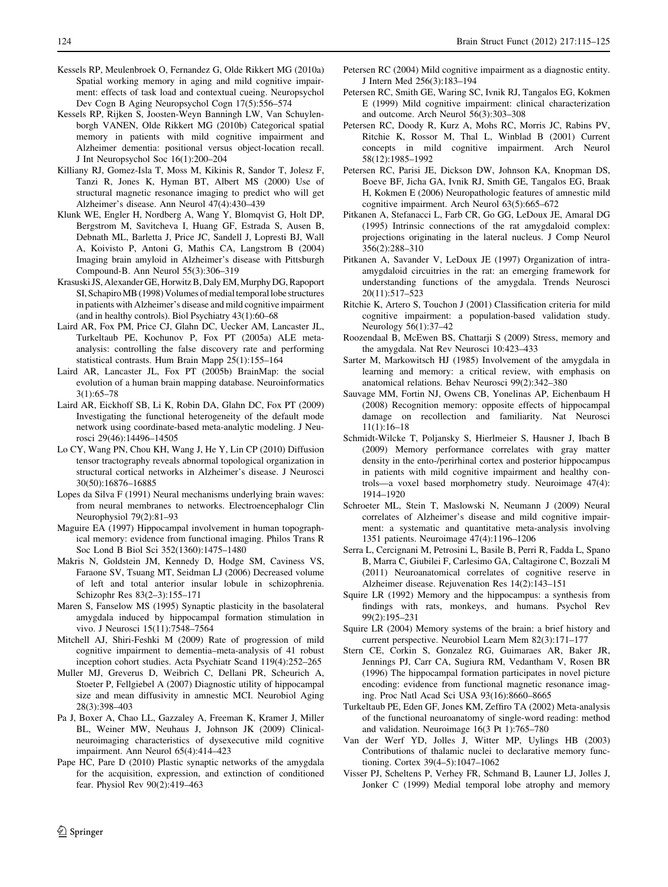- <span id="page-9-0"></span>Kessels RP, Meulenbroek O, Fernandez G, Olde Rikkert MG (2010a) Spatial working memory in aging and mild cognitive impairment: effects of task load and contextual cueing. Neuropsychol Dev Cogn B Aging Neuropsychol Cogn 17(5):556–574
- Kessels RP, Rijken S, Joosten-Weyn Banningh LW, Van Schuylenborgh VANEN, Olde Rikkert MG (2010b) Categorical spatial memory in patients with mild cognitive impairment and Alzheimer dementia: positional versus object-location recall. J Int Neuropsychol Soc 16(1):200–204
- Killiany RJ, Gomez-Isla T, Moss M, Kikinis R, Sandor T, Jolesz F, Tanzi R, Jones K, Hyman BT, Albert MS (2000) Use of structural magnetic resonance imaging to predict who will get Alzheimer's disease. Ann Neurol 47(4):430–439
- Klunk WE, Engler H, Nordberg A, Wang Y, Blomqvist G, Holt DP, Bergstrom M, Savitcheva I, Huang GF, Estrada S, Ausen B, Debnath ML, Barletta J, Price JC, Sandell J, Lopresti BJ, Wall A, Koivisto P, Antoni G, Mathis CA, Langstrom B (2004) Imaging brain amyloid in Alzheimer's disease with Pittsburgh Compound-B. Ann Neurol 55(3):306–319
- Krasuski JS, Alexander GE, Horwitz B, Daly EM, Murphy DG, Rapoport SI, Schapiro MB (1998) Volumes of medial temporal lobe structures in patients with Alzheimer's disease and mild cognitive impairment (and in healthy controls). Biol Psychiatry 43(1):60–68
- Laird AR, Fox PM, Price CJ, Glahn DC, Uecker AM, Lancaster JL, Turkeltaub PE, Kochunov P, Fox PT (2005a) ALE metaanalysis: controlling the false discovery rate and performing statistical contrasts. Hum Brain Mapp 25(1):155–164
- Laird AR, Lancaster JL, Fox PT (2005b) BrainMap: the social evolution of a human brain mapping database. Neuroinformatics 3(1):65–78
- Laird AR, Eickhoff SB, Li K, Robin DA, Glahn DC, Fox PT (2009) Investigating the functional heterogeneity of the default mode network using coordinate-based meta-analytic modeling. J Neurosci 29(46):14496–14505
- Lo CY, Wang PN, Chou KH, Wang J, He Y, Lin CP (2010) Diffusion tensor tractography reveals abnormal topological organization in structural cortical networks in Alzheimer's disease. J Neurosci 30(50):16876–16885
- Lopes da Silva F (1991) Neural mechanisms underlying brain waves: from neural membranes to networks. Electroencephalogr Clin Neurophysiol 79(2):81–93
- Maguire EA (1997) Hippocampal involvement in human topographical memory: evidence from functional imaging. Philos Trans R Soc Lond B Biol Sci 352(1360):1475–1480
- Makris N, Goldstein JM, Kennedy D, Hodge SM, Caviness VS, Faraone SV, Tsuang MT, Seidman LJ (2006) Decreased volume of left and total anterior insular lobule in schizophrenia. Schizophr Res 83(2–3):155–171
- Maren S, Fanselow MS (1995) Synaptic plasticity in the basolateral amygdala induced by hippocampal formation stimulation in vivo. J Neurosci 15(11):7548–7564
- Mitchell AJ, Shiri-Feshki M (2009) Rate of progression of mild cognitive impairment to dementia–meta-analysis of 41 robust inception cohort studies. Acta Psychiatr Scand 119(4):252–265
- Muller MJ, Greverus D, Weibrich C, Dellani PR, Scheurich A, Stoeter P, Fellgiebel A (2007) Diagnostic utility of hippocampal size and mean diffusivity in amnestic MCI. Neurobiol Aging 28(3):398–403
- Pa J, Boxer A, Chao LL, Gazzaley A, Freeman K, Kramer J, Miller BL, Weiner MW, Neuhaus J, Johnson JK (2009) Clinicalneuroimaging characteristics of dysexecutive mild cognitive impairment. Ann Neurol 65(4):414–423
- Pape HC, Pare D (2010) Plastic synaptic networks of the amygdala for the acquisition, expression, and extinction of conditioned fear. Physiol Rev 90(2):419–463
- Petersen RC (2004) Mild cognitive impairment as a diagnostic entity. J Intern Med 256(3):183–194
- Petersen RC, Smith GE, Waring SC, Ivnik RJ, Tangalos EG, Kokmen E (1999) Mild cognitive impairment: clinical characterization and outcome. Arch Neurol 56(3):303–308
- Petersen RC, Doody R, Kurz A, Mohs RC, Morris JC, Rabins PV, Ritchie K, Rossor M, Thal L, Winblad B (2001) Current concepts in mild cognitive impairment. Arch Neurol 58(12):1985–1992
- Petersen RC, Parisi JE, Dickson DW, Johnson KA, Knopman DS, Boeve BF, Jicha GA, Ivnik RJ, Smith GE, Tangalos EG, Braak H, Kokmen E (2006) Neuropathologic features of amnestic mild cognitive impairment. Arch Neurol 63(5):665–672
- Pitkanen A, Stefanacci L, Farb CR, Go GG, LeDoux JE, Amaral DG (1995) Intrinsic connections of the rat amygdaloid complex: projections originating in the lateral nucleus. J Comp Neurol 356(2):288–310
- Pitkanen A, Savander V, LeDoux JE (1997) Organization of intraamygdaloid circuitries in the rat: an emerging framework for understanding functions of the amygdala. Trends Neurosci 20(11):517–523
- Ritchie K, Artero S, Touchon J (2001) Classification criteria for mild cognitive impairment: a population-based validation study. Neurology 56(1):37–42
- Roozendaal B, McEwen BS, Chattarji S (2009) Stress, memory and the amygdala. Nat Rev Neurosci 10:423–433
- Sarter M, Markowitsch HJ (1985) Involvement of the amygdala in learning and memory: a critical review, with emphasis on anatomical relations. Behav Neurosci 99(2):342–380
- Sauvage MM, Fortin NJ, Owens CB, Yonelinas AP, Eichenbaum H (2008) Recognition memory: opposite effects of hippocampal damage on recollection and familiarity. Nat Neurosci 11(1):16–18
- Schmidt-Wilcke T, Poljansky S, Hierlmeier S, Hausner J, Ibach B (2009) Memory performance correlates with gray matter density in the ento-/perirhinal cortex and posterior hippocampus in patients with mild cognitive impairment and healthy controls—a voxel based morphometry study. Neuroimage 47(4): 1914–1920
- Schroeter ML, Stein T, Maslowski N, Neumann J (2009) Neural correlates of Alzheimer's disease and mild cognitive impairment: a systematic and quantitative meta-analysis involving 1351 patients. Neuroimage 47(4):1196–1206
- Serra L, Cercignani M, Petrosini L, Basile B, Perri R, Fadda L, Spano B, Marra C, Giubilei F, Carlesimo GA, Caltagirone C, Bozzali M (2011) Neuroanatomical correlates of cognitive reserve in Alzheimer disease. Rejuvenation Res 14(2):143–151
- Squire LR (1992) Memory and the hippocampus: a synthesis from findings with rats, monkeys, and humans. Psychol Rev 99(2):195–231
- Squire LR (2004) Memory systems of the brain: a brief history and current perspective. Neurobiol Learn Mem 82(3):171–177
- Stern CE, Corkin S, Gonzalez RG, Guimaraes AR, Baker JR, Jennings PJ, Carr CA, Sugiura RM, Vedantham V, Rosen BR (1996) The hippocampal formation participates in novel picture encoding: evidence from functional magnetic resonance imaging. Proc Natl Acad Sci USA 93(16):8660–8665
- Turkeltaub PE, Eden GF, Jones KM, Zeffiro TA (2002) Meta-analysis of the functional neuroanatomy of single-word reading: method and validation. Neuroimage 16(3 Pt 1):765–780
- Van der Werf YD, Jolles J, Witter MP, Uylings HB (2003) Contributions of thalamic nuclei to declarative memory functioning. Cortex 39(4–5):1047–1062
- Visser PJ, Scheltens P, Verhey FR, Schmand B, Launer LJ, Jolles J, Jonker C (1999) Medial temporal lobe atrophy and memory